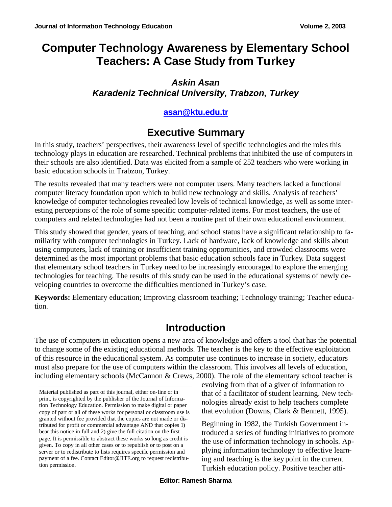# **Computer Technology Awareness by Elementary School Teachers: A Case Study from Turkey**

### *Askin Asan Karadeniz Technical University, Trabzon, Turkey*

#### **asan@ktu.edu.tr**

# **Executive Summary**

In this study, teachers' perspectives, their awareness level of specific technologies and the roles this technology plays in education are researched. Technical problems that inhibited the use of computers in their schools are also identified. Data was elicited from a sample of 252 teachers who were working in basic education schools in Trabzon, Turkey.

The results revealed that many teachers were not computer users. Many teachers lacked a functional computer literacy foundation upon which to build new technology and skills. Analysis of teachers' knowledge of computer technologies revealed low levels of technical knowledge, as well as some interesting perceptions of the role of some specific computer-related items. For most teachers, the use of computers and related technologies had not been a routine part of their own educational environment.

This study showed that gender, years of teaching, and school status have a significant relationship to familiarity with computer technologies in Turkey. Lack of hardware, lack of knowledge and skills about using computers, lack of training or insufficient training opportunities, and crowded classrooms were determined as the most important problems that basic education schools face in Turkey. Data suggest that elementary school teachers in Turkey need to be increasingly encouraged to explore the emerging technologies for teaching. The results of this study can be used in the educational systems of newly developing countries to overcome the difficulties mentioned in Turkey's case.

**Keywords:** Elementary education; Improving classroom teaching; Technology training; Teacher education.

# **Introduction**

The use of computers in education opens a new area of knowledge and offers a tool that has the potential to change some of the existing educational methods. The teacher is the key to the effective exploitation of this resource in the educational system. As computer use continues to increase in society, educators must also prepare for the use of computers within the classroom. This involves all levels of education, including elementary schools (McCannon & Crews, 2000). The role of the elementary school teacher is

evolving from that of a giver of information to that of a facilitator of student learning. New technologies already exist to help teachers complete that evolution (Downs, Clark & Bennett, 1995).

Beginning in 1982, the Turkish Government introduced a series of funding initiatives to promote the use of information technology in schools. Applying information technology to effective learning and teaching is the key point in the current Turkish education policy. Positive teacher atti-

Material published as part of this journal, either on-line or in print, is copyrighted by the publisher of the Journal of Information Technology Education. Permission to make digital or paper copy of part or all of these works for personal or classroom use is granted without fee provided that the copies are not made or distributed for profit or commercial advantage AND that copies 1) bear this notice in full and 2) give the full citation on the first page. It is permissible to abstract these works so long as credit is given. To copy in all other cases or to republish or to post on a server or to redistribute to lists requires specific permission and payment of a fee. Contact Editor@JITE.org to request redistribution permission.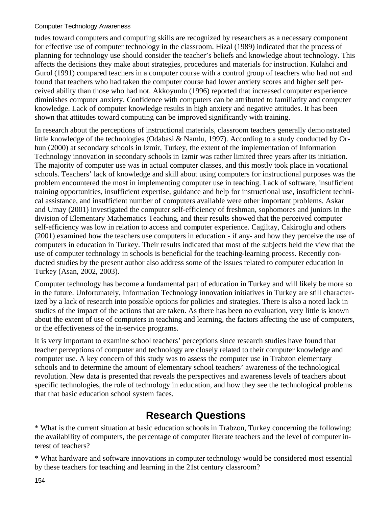#### Computer Technology Awareness

tudes toward computers and computing skills are recognized by researchers as a necessary component for effective use of computer technology in the classroom. Hizal (1989) indicated that the process of planning for technology use should consider the teacher's beliefs and knowledge about technology. This affects the decisions they make about strategies, procedures and materials for instruction. Kulahci and Gurol (1991) compared teachers in a computer course with a control group of teachers who had not and found that teachers who had taken the computer course had lower anxiety scores and higher self perceived ability than those who had not. Akkoyunlu (1996) reported that increased computer experience diminishes computer anxiety. Confidence with computers can be attributed to familiarity and computer knowledge. Lack of computer knowledge results in high anxiety and negative attitudes. It has been shown that attitudes toward computing can be improved significantly with training.

In research about the perceptions of instructional materials, classroom teachers generally demo nstrated little knowledge of the technologies (Odabasi & Namlu, 1997). According to a study conducted by Orhun (2000) at secondary schools in Izmir, Turkey, the extent of the implementation of Information Technology innovation in secondary schools in Izmir was rather limited three years after its initiation. The majority of computer use was in actual computer classes, and this mostly took place in vocational schools. Teachers' lack of knowledge and skill about using computers for instructional purposes was the problem encountered the most in implementing computer use in teaching. Lack of software, insufficient training opportunities, insufficient expertise, guidance and help for instructional use, insufficient technical assistance, and insufficient number of computers available were other important problems. Askar and Umay (2001) investigated the computer self-efficiency of freshman, sophomores and juniors in the division of Elementary Mathematics Teaching, and their results showed that the perceived computer self-efficiency was low in relation to access and computer experience. Cagiltay, Cakiroglu and others (2001) examined how the teachers use computers in education - if any- and how they perceive the use of computers in education in Turkey. Their results indicated that most of the subjects held the view that the use of computer technology in schools is beneficial for the teaching-learning process. Recently conducted studies by the present author also address some of the issues related to computer education in Turkey (Asan, 2002, 2003).

Computer technology has become a fundamental part of education in Turkey and will likely be more so in the future. Unfortunately, Information Technology innovation initiatives in Turkey are still characterized by a lack of research into possible options for policies and strategies. There is also a noted lack in studies of the impact of the actions that are taken. As there has been no evaluation, very little is known about the extent of use of computers in teaching and learning, the factors affecting the use of computers, or the effectiveness of the in-service programs.

It is very important to examine school teachers' perceptions since research studies have found that teacher perceptions of computer and technology are closely related to their computer knowledge and computer use. A key concern of this study was to assess the computer use in Trabzon elementary schools and to determine the amount of elementary school teachers' awareness of the technological revolution. New data is presented that reveals the perspectives and awareness levels of teachers about specific technologies, the role of technology in education, and how they see the technological problems that that basic education school system faces.

# **Research Questions**

\* What is the current situation at basic education schools in Trabzon, Turkey concerning the following: the availability of computers, the percentage of computer literate teachers and the level of computer interest of teachers?

\* What hardware and software innovations in computer technology would be considered most essential by these teachers for teaching and learning in the 21st century classroom?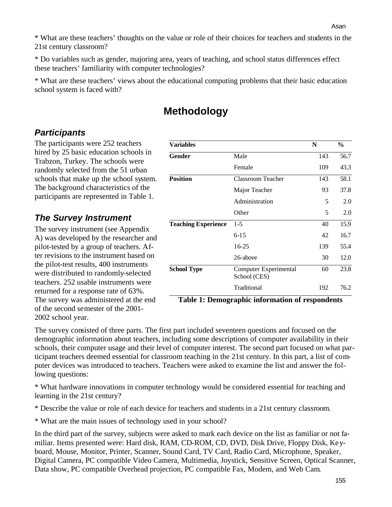\* What are these teachers' thoughts on the value or role of their choices for teachers and students in the 21st century classroom?

\* Do variables such as gender, majoring area, years of teaching, and school status differences effect these teachers' familiarity with computer technologies?

\* What are these teachers' views about the educational computing problems that their basic education school system is faced with?

# **Methodology**

#### *Participants*

The participants were 252 teachers hired by 25 basic education schools in Trabzon, Turkey. The schools were randomly selected from the 51 urban schools that make up the school system. The background characteristics of the participants are represented in Table 1.

### *The Survey Instrument*

The survey instrument (see Appendix A) was developed by the researcher and pilot-tested by a group of teachers. After revisions to the instrument based on the pilot-test results, 400 instruments were distributed to randomly-selected teachers. 252 usable instruments were returned for a response rate of 63%. The survey was administered at the end of the second semester of the 2001- 2002 school year.

| <b>Variables</b>           |                                       | N   | $\frac{0}{0}$ |
|----------------------------|---------------------------------------|-----|---------------|
| Gender                     | Male                                  | 143 | 56.7          |
|                            | Female                                | 109 | 43.3          |
| <b>Position</b>            | <b>Classroom Teacher</b>              | 143 | 58.1          |
|                            | Major Teacher                         | 93  | 37.8          |
|                            | Administration                        | 5   | 2.0           |
|                            | Other                                 | 5   | 2.0           |
| <b>Teaching Experience</b> | $1 - 5$                               | 40  | 15.9          |
|                            | $6 - 15$                              | 42  | 16.7          |
|                            | 16-25                                 | 139 | 55.4          |
|                            | 26-above                              | 30  | 12.0          |
| <b>School Type</b>         | Computer Experimental<br>School (CES) | 60  | 23.8          |
|                            | Traditional                           | 192 | 76.2          |

**Table 1: Demographic information of respondents**

The survey consisted of three parts. The first part included seventeen questions and focused on the demographic information about teachers, including some descriptions of computer availability in their schools, their computer usage and their level of computer interest. The second part focused on what participant teachers deemed essential for classroom teaching in the 21st century. In this part, a list of computer devices was introduced to teachers. Teachers were asked to examine the list and answer the following questions:

\* What hardware innovations in computer technology would be considered essential for teaching and learning in the 21st century?

\* Describe the value or role of each device for teachers and students in a 21st century classroom.

\* What are the main issues of technology used in your school?

In the third part of the survey, subjects were asked to mark each device on the list as familiar or not familiar. Items presented were: Hard disk, RAM, CD-ROM, CD, DVD, Disk Drive, Floppy Disk, Keyboard, Mouse, Monitor, Printer, Scanner, Sound Card, TV Card, Radio Card, Microphone, Speaker, Digital Camera, PC compatible Video Camera, Multimedia, Joystick, Sensitive Screen, Optical Scanner, Data show, PC compatible Overhead projection, PC compatible Fax, Modem, and Web Cam.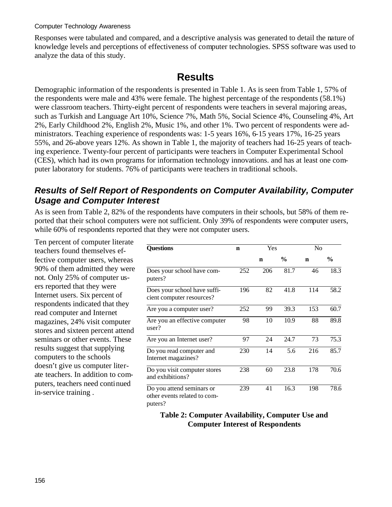#### Computer Technology Awareness

Responses were tabulated and compared, and a descriptive analysis was generated to detail the nature of knowledge levels and perceptions of effectiveness of computer technologies. SPSS software was used to analyze the data of this study.

# **Results**

Demographic information of the respondents is presented in Table 1. As is seen from Table 1, 57% of the respondents were male and 43% were female. The highest percentage of the respondents (58.1%) were classroom teachers. Thirty-eight percent of respondents were teachers in several majoring areas, such as Turkish and Language Art 10%, Science 7%, Math 5%, Social Science 4%, Counseling 4%, Art 2%, Early Childhood 2%, English 2%, Music 1%, and other 1%. Two percent of respondents were administrators. Teaching experience of respondents was: 1-5 years 16%, 6-15 years 17%, 16-25 years 55%, and 26-above years 12%. As shown in Table 1, the majority of teachers had 16-25 years of teaching experience. Twenty-four percent of participants were teachers in Computer Experimental School (CES), which had its own programs for information technology innovations. and has at least one computer laboratory for students. 76% of participants were teachers in traditional schools.

#### *Results of Self Report of Respondents on Computer Availability, Computer Usage and Computer Interest*

As is seen from Table 2, 82% of the respondents have computers in their schools, but 58% of them reported that their school computers were not sufficient. Only 39% of respondents were computer users, while 60% of respondents reported that they were not computer users.

Ten percent of computer literate teachers found themselves effective computer users, whereas 90% of them admitted they were not. Only 25% of computer users reported that they were Internet users. Six percent of respondents indicated that they read computer and Internet magazines, 24% visit computer stores and sixteen percent attend seminars or other events. These results suggest that supplying computers to the schools doesn't give us computer literate teachers. In addition to computers, teachers need continued in-service training .

| <b>Questions</b>                                                     | n   | Yes |               | N <sub>0</sub> |               |
|----------------------------------------------------------------------|-----|-----|---------------|----------------|---------------|
|                                                                      |     | n   | $\frac{6}{9}$ | $\mathbf n$    | $\frac{0}{0}$ |
| Does your school have com-<br>puters?                                | 252 | 206 | 81.7          | 46             | 18.3          |
| Does your school have suffi-<br>cient computer resources?            | 196 | 82  | 41.8          | 114            | 58.2          |
| Are you a computer user?                                             | 252 | 99  | 39.3          | 153            | 60.7          |
| Are you an effective computer<br>user?                               | 98  | 10  | 10.9          | 88             | 89.8          |
| Are you an Internet user?                                            | 97  | 24  | 24.7          | 73             | 75.3          |
| Do you read computer and<br>Internet magazines?                      | 230 | 14  | 5.6           | 216            | 85.7          |
| Do you visit computer stores<br>and exhibitions?                     | 238 | 60  | 23.8          | 178            | 70.6          |
| Do you attend seminars or<br>other events related to com-<br>puters? | 239 | 41  | 16.3          | 198            | 78.6          |

**Table 2: Computer Availability, Computer Use and Computer Interest of Respondents**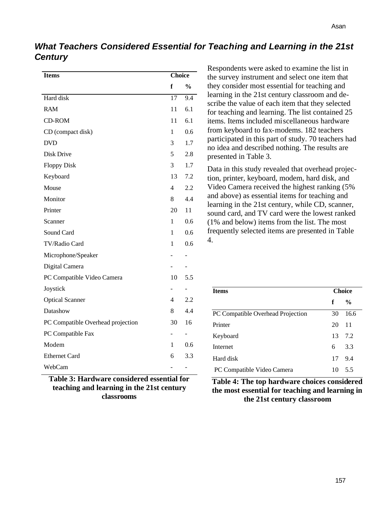### *What Teachers Considered Essential for Teaching and Learning in the 21st Century*

| <b>Items</b>                      | <b>Choice</b>  |                          |
|-----------------------------------|----------------|--------------------------|
|                                   | f              | $\frac{0}{0}$            |
| Hard disk                         | 17             | 9.4                      |
| <b>RAM</b>                        | 11             | 6.1                      |
| <b>CD-ROM</b>                     | 11             | 6.1                      |
| CD (compact disk)                 | 1              | 0.6                      |
| <b>DVD</b>                        | 3              | 1.7                      |
| Disk Drive                        | 5              | 2.8                      |
| <b>Floppy Disk</b>                | 3              | 1.7                      |
| Keyboard                          | 13             | 7.2                      |
| Mouse                             | 4              | 2.2                      |
| Monitor                           | 8              | 4.4                      |
| Printer                           | 20             | 11                       |
| Scanner                           | $\mathbf{1}$   | 0.6                      |
| Sound Card                        | 1              | 0.6                      |
| TV/Radio Card                     | 1              | 0.6                      |
| Microphone/Speaker                |                | $\overline{\phantom{0}}$ |
| Digital Camera                    |                | -                        |
| PC Compatible Video Camera        | 10             | 5.5                      |
| Joystick                          |                |                          |
| <b>Optical Scanner</b>            | 4              | 2.2                      |
| Datashow                          | 8              | 4.4                      |
| PC Compatible Overhead projection | 30             | 16                       |
| PC Compatible Fax                 |                | -                        |
| Modem                             | 1              | 0.6                      |
| <b>Ethernet Card</b>              | 6              | 3.3                      |
| WebCam                            | $\overline{a}$ | -                        |

**Table 3: Hardware considered essential for teaching and learning in the 21st century classrooms**

Respondents were asked to examine the list in the survey instrument and select one item that they consider most essential for teaching and learning in the 21st century classroom and describe the value of each item that they selected for teaching and learning. The list contained 25 items. Items included miscellaneous hardware from keyboard to fax-modems. 182 teachers participated in this part of study. 70 teachers had no idea and described nothing. The results are presented in Table 3.

Data in this study revealed that overhead projection, printer, keyboard, modem, hard disk, and Video Camera received the highest ranking (5% and above) as essential items for teaching and learning in the 21st century, while CD, scanner, sound card, and TV card were the lowest ranked (1% and below) items from the list. The most frequently selected items are presented in Table 4.

| <b>Items</b>                      |    | <b>Choice</b> |  |  |
|-----------------------------------|----|---------------|--|--|
|                                   | f  | $\frac{0}{0}$ |  |  |
| PC Compatible Overhead Projection | 30 | 16.6          |  |  |
| Printer                           | 20 | -11           |  |  |
| Keyboard                          |    | 13 7.2        |  |  |
| Internet                          | 6  | 3.3           |  |  |
| Hard disk                         |    | 17 9.4        |  |  |
| PC Compatible Video Camera        | 10 | 5.5           |  |  |

**Table 4: The top hardware choices considered the most essential for teaching and learning in the 21st century classroom**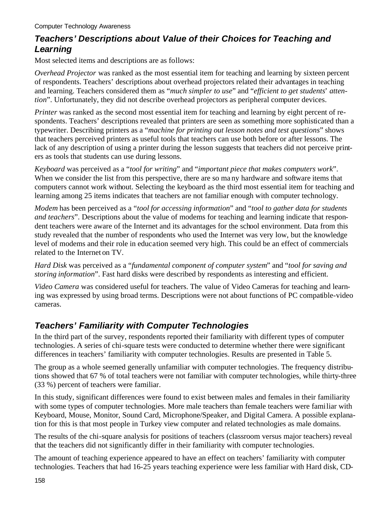### *Teachers' Descriptions about Value of their Choices for Teaching and Learning*

Most selected items and descriptions are as follows:

*Overhead Projector* was ranked as the most essential item for teaching and learning by sixteen percent of respondents. Teachers' descriptions about overhead projectors related their advantages in teaching and learning. Teachers considered them as "*much simpler to use*" and "*efficient to get students*' *attention*". Unfortunately, they did not describe overhead projectors as peripheral computer devices.

*Printer* was ranked as the second most essential item for teaching and learning by eight percent of respondents. Teachers' descriptions revealed that printers are seen as something more sophisticated than a typewriter. Describing printers as a "*machine for printing out lesson notes and test questions*" shows that teachers perceived printers as useful tools that teachers can use both before or after lessons. The lack of any description of using a printer during the lesson suggests that teachers did not perceive printers as tools that students can use during lessons.

*Keyboard* was perceived as a "*tool for writing*" and "*important piece that makes computers work*". When we consider the list from this perspective, there are so many hardware and software items that computers cannot work without. Selecting the keyboard as the third most essential item for teaching and learning among 25 items indicates that teachers are not familiar enough with computer technology.

*Modem* has been perceived as a "*tool for accessing information*" and "*tool to gather data for students and teachers*". Descriptions about the value of modems for teaching and learning indicate that respondent teachers were aware of the Internet and its advantages for the school environment. Data from this study revealed that the number of respondents who used the Internet was very low, but the knowledge level of modems and their role in education seemed very high. This could be an effect of commercials related to the Internet on TV.

*Hard Disk* was perceived as a "*fundamental component of computer system*" and "*tool for saving and storing information*". Fast hard disks were described by respondents as interesting and efficient.

*Video Camera* was considered useful for teachers. The value of Video Cameras for teaching and learning was expressed by using broad terms. Descriptions were not about functions of PC compatible-video cameras.

### *Teachers' Familiarity with Computer Technologies*

In the third part of the survey, respondents reported their familiarity with different types of computer technologies. A series of chi-square tests were conducted to determine whether there were significant differences in teachers' familiarity with computer technologies. Results are presented in Table 5.

The group as a whole seemed generally unfamiliar with computer technologies. The frequency distributions showed that 67 % of total teachers were not familiar with computer technologies, while thirty-three (33 %) percent of teachers were familiar.

In this study, significant differences were found to exist between males and females in their familiarity with some types of computer technologies. More male teachers than female teachers were familiar with Keyboard, Mouse, Monitor, Sound Card, Microphone/Speaker, and Digital Camera. A possible explanation for this is that most people in Turkey view computer and related technologies as male domains.

The results of the chi-square analysis for positions of teachers (classroom versus major teachers) reveal that the teachers did not significantly differ in their familiarity with computer technologies.

The amount of teaching experience appeared to have an effect on teachers' familiarity with computer technologies. Teachers that had 16-25 years teaching experience were less familiar with Hard disk, CD-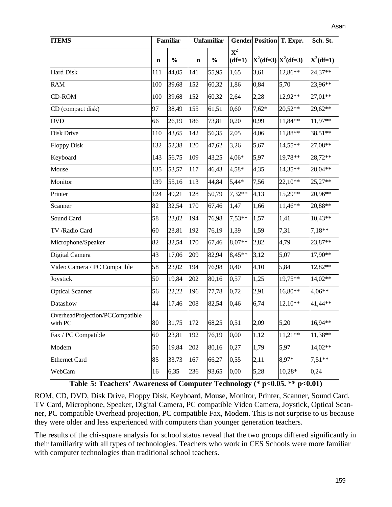| <b>ITEMS</b>                               |             | <b>Familiar</b> |             | <b>Unfamiliar</b> |                                       | <b>Gender Position T. Expr.</b> |           | Sch. St.    |
|--------------------------------------------|-------------|-----------------|-------------|-------------------|---------------------------------------|---------------------------------|-----------|-------------|
|                                            | $\mathbf n$ | $\frac{0}{0}$   | $\mathbf n$ | $\frac{0}{0}$     | $\overline{\textbf{X}^2}$<br>$(df=1)$ | $X^2(df=3)$ $X^2(df=3)$         |           | $X^2(df=1)$ |
| <b>Hard Disk</b>                           | 111         | 44,05           | 141         | 55,95             | 1,65                                  | 3,61                            | 12,86**   | 24,37**     |
| <b>RAM</b>                                 | 100         | 39,68           | 152         | 60,32             | 1,86                                  | 0,84                            | 5,70      | 23,96**     |
| <b>CD-ROM</b>                              | 100         | 39,68           | 152         | 60,32             | 2,64                                  | 2,28                            | 12,92**   | 27,01**     |
| CD (compact disk)                          | 97          | 38,49           | 155         | 61,51             | 0,60                                  | $7,62*$                         | 20,52**   | 29,62**     |
| <b>DVD</b>                                 | 66          | 26,19           | 186         | 73,81             | 0,20                                  | 0,99                            | 11,84**   | 11,97**     |
| Disk Drive                                 | 110         | 43,65           | 142         | 56,35             | 2,05                                  | 4,06                            | 11,88**   | 38,51**     |
| <b>Floppy Disk</b>                         | 132         | 52,38           | 120         | 47,62             | 3,26                                  | 5,67                            | 14,55**   | 27,08**     |
| Keyboard                                   | 143         | 56,75           | 109         | 43,25             | 4,06*                                 | 5,97                            | 19,78**   | 28,72**     |
| Mouse                                      | 135         | 53,57           | 117         | 46,43             | $4,58*$                               | 4,35                            | 14,35**   | 28,04**     |
| Monitor                                    | 139         | 55,16           | 113         | 44,84             | 5,44*                                 | 7,56                            | 22,10**   | $25,27**$   |
| Printer                                    | 124         | 49,21           | 128         | 50,79             | 7,32**                                | 4,13                            | 15,29**   | 20,96**     |
| Scanner                                    | 82          | 32,54           | 170         | 67,46             | 1,47                                  | 1,66                            | 11,46**   | 20,88**     |
| Sound Card                                 | 58          | 23,02           | 194         | 76,98             | $7,53**$                              | 1,57                            | 1,41      | $10,43**$   |
| TV /Radio Card                             | 60          | 23,81           | 192         | 76,19             | 1,39                                  | 1,59                            | 7,31      | $7,18**$    |
| Microphone/Speaker                         | 82          | 32,54           | 170         | 67,46             | 8,07**                                | 2,82                            | 4,79      | 23,87**     |
| Digital Camera                             | 43          | 17,06           | 209         | 82,94             | 8,45**                                | 3,12                            | 5,07      | 17,90**     |
| Video Camera / PC Compatible               | 58          | 23,02           | 194         | 76,98             | 0,40                                  | 4,10                            | 5,84      | 12,82**     |
| Joystick                                   | 50          | 19,84           | 202         | 80,16             | 0,57                                  | 1,25                            | 19,75**   | 14,02**     |
| <b>Optical Scanner</b>                     | 56          | 22,22           | 196         | 77,78             | 0,72                                  | 2,91                            | 16,80**   | $4,06**$    |
| Datashow                                   | 44          | 17,46           | 208         | 82,54             | 0,46                                  | 6,74                            | $12,10**$ | 41,44**     |
| OverheadProjection/PCCompatible<br>with PC | 80          | 31,75           | 172         | 68,25             | 0,51                                  | 2,09                            | 5,20      | $16,94**$   |
| Fax / PC Compatible                        | 60          | 23,81           | 192         | 76,19             | 0,00                                  | 1,12                            | $11,21**$ | 11,38**     |
| Modem                                      | 50          | 19,84           | 202         | 80,16             | 0,27                                  | 1,79                            | 5,97      | 14,02**     |
| <b>Ethernet Card</b>                       | 85          | 33,73           | 167         | 66,27             | 0,55                                  | 2,11                            | 8,97*     | $7,51**$    |
| WebCam                                     | 16          | 6,35            | 236         | 93,65             | 0,00                                  | 5,28                            | 10,28*    | 0,24        |

**Table 5: Teachers' Awareness of Computer Technology (\* p<0.05. \*\* p<0.01)**

ROM, CD, DVD, Disk Drive, Floppy Disk, Keyboard, Mouse, Monitor, Printer, Scanner, Sound Card, TV Card, Microphone, Speaker, Digital Camera, PC compatible Video Camera, Joystick, Optical Scanner, PC compatible Overhead projection, PC compatible Fax, Modem. This is not surprise to us because they were older and less experienced with computers than younger generation teachers.

The results of the chi-square analysis for school status reveal that the two groups differed significantly in their familiarity with all types of technologies. Teachers who work in CES Schools were more familiar with computer technologies than traditional school teachers.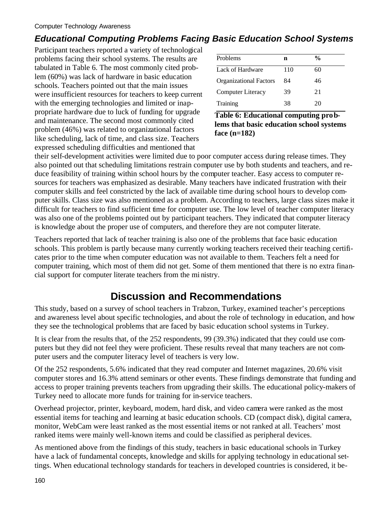### *Educational Computing Problems Facing Basic Education School Systems*

Participant teachers reported a variety of technological problems facing their school systems. The results are tabulated in Table 6. The most commonly cited problem (60%) was lack of hardware in basic education schools. Teachers pointed out that the main issues were insufficient resources for teachers to keep current with the emerging technologies and limited or inappropriate hardware due to luck of funding for upgrade and maintenance. The second most commonly cited problem (46%) was related to organizational factors like scheduling, lack of time, and class size. Teachers expressed scheduling difficulties and mentioned that

| Problems                      | n   | $\frac{0}{0}$ |
|-------------------------------|-----|---------------|
| Lack of Hardware              | 110 | 60            |
| <b>Organizational Factors</b> | 84  | 46            |
| Computer Literacy             | 39  | 21            |
| Training                      | 38  | 20            |

**Table 6: Educational computing problems that basic education school systems face (n=182)**

their self-development activities were limited due to poor computer access during release times. They also pointed out that scheduling limitations restrain computer use by both students and teachers, and reduce feasibility of training within school hours by the computer teacher. Easy access to computer resources for teachers was emphasized as desirable. Many teachers have indicated frustration with their computer skills and feel constricted by the lack of available time during school hours to develop computer skills. Class size was also mentioned as a problem. According to teachers, large class sizes make it difficult for teachers to find sufficient time for computer use. The low level of teacher computer literacy was also one of the problems pointed out by participant teachers. They indicated that computer literacy is knowledge about the proper use of computers, and therefore they are not computer literate.

Teachers reported that lack of teacher training is also one of the problems that face basic education schools. This problem is partly because many currently working teachers received their teaching certificates prior to the time when computer education was not available to them. Teachers felt a need for computer training, which most of them did not get. Some of them mentioned that there is no extra financial support for computer literate teachers from the mi nistry.

# **Discussion and Recommendations**

This study, based on a survey of school teachers in Trabzon, Turkey, examined teacher's perceptions and awareness level about specific technologies, and about the role of technology in education, and how they see the technological problems that are faced by basic education school systems in Turkey.

It is clear from the results that, of the 252 respondents, 99 (39.3%) indicated that they could use computers but they did not feel they were proficient. These results reveal that many teachers are not computer users and the computer literacy level of teachers is very low.

Of the 252 respondents, 5.6% indicated that they read computer and Internet magazines, 20.6% visit computer stores and 16.3% attend seminars or other events. These findings demonstrate that funding and access to proper training prevents teachers from upgrading their skills. The educational policy-makers of Turkey need to allocate more funds for training for in-service teachers.

Overhead projector, printer, keyboard, modem, hard disk, and video camera were ranked as the most essential items for teaching and learning at basic education schools. CD (compact disk), digital camera, monitor, WebCam were least ranked as the most essential items or not ranked at all. Teachers' most ranked items were mainly well-known items and could be classified as peripheral devices.

As mentioned above from the findings of this study, teachers in basic educational schools in Turkey have a lack of fundamental concepts, knowledge and skills for applying technology in educational settings. When educational technology standards for teachers in developed countries is considered, it be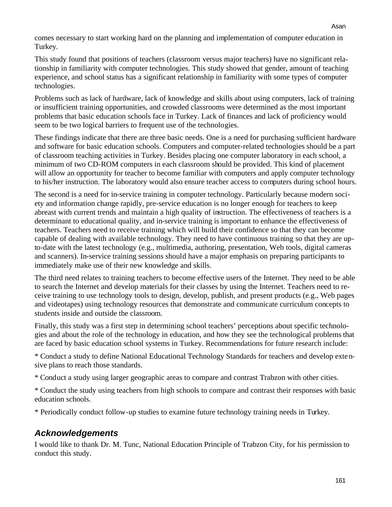comes necessary to start working hard on the planning and implementation of computer education in Turkey.

This study found that positions of teachers (classroom versus major teachers) have no significant relationship in familiarity with computer technologies. This study showed that gender, amount of teaching experience, and school status has a significant relationship in familiarity with some types of computer technologies.

Problems such as lack of hardware, lack of knowledge and skills about using computers, lack of training or insufficient training opportunities, and crowded classrooms were determined as the most important problems that basic education schools face in Turkey. Lack of finances and lack of proficiency would seem to be two logical barriers to frequent use of the technologies.

These findings indicate that there are three basic needs. One is a need for purchasing sufficient hardware and software for basic education schools. Computers and computer-related technologies should be a part of classroom teaching activities in Turkey. Besides placing one computer laboratory in each school, a minimum of two CD-ROM computers in each classroom should be provided. This kind of placement will allow an opportunity for teacher to become familiar with computers and apply computer technology to his/her instruction. The laboratory would also ensure teacher access to computers during school hours.

The second is a need for in-service training in computer technology. Particularly because modern society and information change rapidly, pre-service education is no longer enough for teachers to keep abreast with current trends and maintain a high quality of instruction. The effectiveness of teachers is a determinant to educational quality, and in-service training is important to enhance the effectiveness of teachers. Teachers need to receive training which will build their confidence so that they can become capable of dealing with available technology. They need to have continuous training so that they are upto-date with the latest technology (e.g., multimedia, authoring, presentation, Web tools, digital cameras and scanners). In-service training sessions should have a major emphasis on preparing participants to immediately make use of their new knowledge and skills.

The third need relates to training teachers to become effective users of the Internet. They need to be able to search the Internet and develop materials for their classes by using the Internet. Teachers need to receive training to use technology tools to design, develop, publish, and present products (e.g., Web pages and videotapes) using technology resources that demonstrate and communicate curriculum concepts to students inside and outside the classroom.

Finally, this study was a first step in determining school teachers' perceptions about specific technologies and about the role of the technology in education, and how they see the technological problems that are faced by basic education school systems in Turkey. Recommendations for future research include:

\* Conduct a study to define National Educational Technology Standards for teachers and develop extensive plans to reach those standards.

\* Conduct a study using larger geographic areas to compare and contrast Trabzon with other cities.

\* Conduct the study using teachers from high schools to compare and contrast their responses with basic education schools.

\* Periodically conduct follow-up studies to examine future technology training needs in Turkey.

### *Acknowledgements*

I would like to thank Dr. M. Tunc, National Education Principle of Trabzon City, for his permission to conduct this study.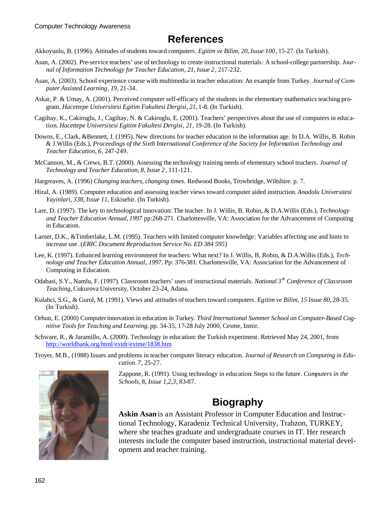# **References**

Akkoyunlu, B. (1996). Attitudes of students toward computers. *Egitim ve Bilim, 20, Issue 100*, 15-27. (In Turkish).

- Asan, A. (2002). Pre-service teachers' use of technology to create instructional materials: A school-college partnership. *Journal of Information Technology for Teacher Education*, *21, Issue 2,* 217-232.
- Asan, A. (2003). School experience course with multimedia in teacher education: An example from Turkey. *Journal of Computer Assisted Learning*, *19*, 21-34.
- Askar, P. & Umay, A. (2001). Perceived computer self-efficacy of the students in the elementary mathematics teaching program. *Hacettepe Universitesi Egitim Fakultesi Dergisi, 21*, 1-8. (In Turkish).
- Cagiltay, K., Cakiroglu, J., Cagiltay, N. & Cakiroglu, E. (2001). Teachers' perspectives about the use of computers in education. *Hacettepe Universitesi Egitim Fakultesi Dergisi*, *21*, 19-28. (In Turkish).
- Downs, E., Clark, &Bennett, J. (1995). New directions for teacher education in the information age. In D.A. Willis, B. Robin & J.Willis (Eds.), *Proceedings of the Sixth International Conference of the Society for Information Technology and Teacher Education, 6*, 247-249.
- McCannon, M., & Crews, B.T. (2000). Assessing the technology training needs of elementary school teachers. *Journal of Technology and Teacher Education, 8, Issue 2*, 111-121.
- Hargreaves, A. (1996) *Changing teachers, changing times.* Redwood Books, Trowbridge, Wiltshire. p. 7.
- Hizal, A. (1989). Computer education and assessing teacher views toward computer aided instruction. *Anadolu Universitesi Yayinlari, 338, Issue 11*, Eskisehir. (In Turkish).
- Lare, D. (1997). The key to technological innovation: The teacher. In J. Willis, B. Robin, & D.A.Willis (Eds.), *Technology and Teacher Education Annual*, *1997* pp:268-271. Charlottesville, VA: Association for the Advancement of Computing in Education.
- Larner, D.K., &Timberlake, L.M. (1995). Teachers with limited computer knowledge: Variables affecting use and hints to increase use. (*ERIC Document Reproduction Service No. ED 384 595*)
- Lee, K. (1997). Enhanced learning environment for teachers: What next? In J. Willis, B. Robin, & D.A.Willis (Eds.), *Technology and Teacher Education Annual*, *1997*. Pp: 376-381. Charlottesville, VA: Association for the Advancement of Computing in Education.
- Odabasi, S.Y., Namlu, F. (1997). Classroom teachers' uses of instructional materials. *National 3th Conference of Classroom Teaching,* Cukurova University, October 23-24, Adana.
- Kulahci, S.G., & Gurol, M. (1991). Views and attitudes of teachers toward computers. *Egitim ve Bilim, 15 Issue 80*, 28-35. (In Turkish).
- Orhun, E. (2000) Computer innovation in education in Turkey. *Third International Summer School on Computer-Based Cognitive Tools for Teaching and Learning.* pp. 34-35, 17-28 July 2000, Cesme, Izmir.
- Schware, R., & Jaramillo, A. (2000). Technology in education: the Turkish experiment. Retrieved May 24, 2001, from http://worldbank.org/html/extdr/extme/1838.htm
- Troyer, M.B., (1988) Issues and problems in teacher computer literacy education. *Journal of Research on Computing in Education. 7*, 25-27.



Zappone, R. (1991). Using technology in education: Steps to the future. *Computers in the Schools,* 8, *Issue 1,2,3*, 83-87.

## **Biography**

**Askin Asan** is an Assistant Professor in Computer Education and Instructional Technology, Karadeniz Technical University, Trabzon, TURKEY, where she teaches graduate and undergraduate courses in IT. Her research interests include the computer based instruction, instructional material development and teacher training.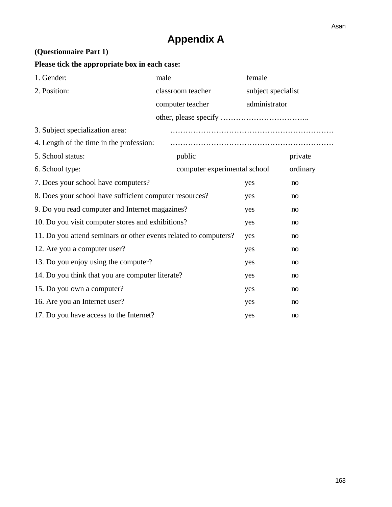# **Appendix A**

#### **(Questionnaire Part 1)**

### **Please tick the appropriate box in each case:**

| 1. Gender:                                                       | male                         | female             |          |  |
|------------------------------------------------------------------|------------------------------|--------------------|----------|--|
| 2. Position:                                                     | classroom teacher            | subject specialist |          |  |
|                                                                  | computer teacher             | administrator      |          |  |
|                                                                  |                              |                    |          |  |
| 3. Subject specialization area:                                  |                              |                    |          |  |
| 4. Length of the time in the profession:                         |                              |                    |          |  |
| 5. School status:                                                | public                       |                    | private  |  |
| 6. School type:                                                  | computer experimental school |                    | ordinary |  |
| 7. Does your school have computers?                              |                              | yes                | no       |  |
| 8. Does your school have sufficient computer resources?          |                              | yes                | no       |  |
| 9. Do you read computer and Internet magazines?                  |                              | yes                | no       |  |
| 10. Do you visit computer stores and exhibitions?                |                              | yes                | no       |  |
| 11. Do you attend seminars or other events related to computers? |                              | yes                | no       |  |
| 12. Are you a computer user?                                     |                              | yes                | no       |  |
| 13. Do you enjoy using the computer?                             |                              | yes                | no       |  |
| 14. Do you think that you are computer literate?                 |                              | yes                | no       |  |
| 15. Do you own a computer?                                       |                              | yes                | no       |  |
| 16. Are you an Internet user?                                    |                              | yes                | no       |  |
| 17. Do you have access to the Internet?                          |                              | yes                | no       |  |